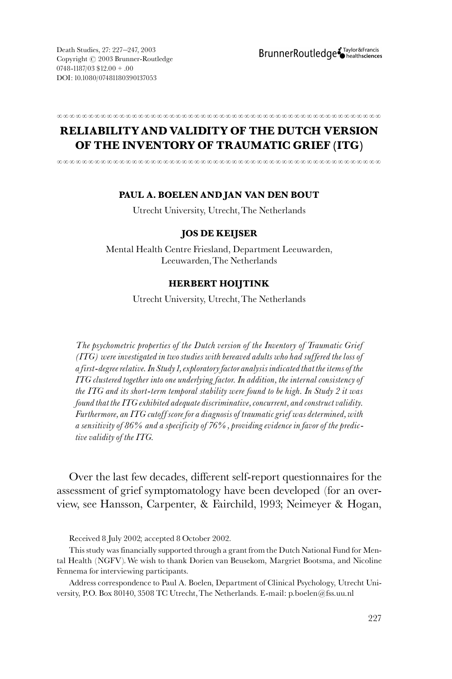Death Studies, 27: 227-247, 2003 Copyright  $\odot$  2003 Brunner-Routledge 0748-1187/03 \$12.00 + .00 DOI: 10.1080/07481180390137053

# RELIABILITYAND VALIDITY OF THE DUTCH VERSION OF THE INVENTORY OF TRAUMATIC GRIEF (ITG)

????????????????????????????????????????????????????

????????????????????????????????????????????????????

#### PAUL A. BOELEN AND JAN VAN DEN BOUT

Utrecht University, Utrecht,The Netherlands

#### JOS DE KEIJSER

Mental Health Centre Friesland, Department Leeuwarden, Leeuwarden,The Netherlands

#### HERBERT HOIJTINK

Utrecht University, Utrecht,The Netherlands

The psychometric properties of the Dutch version of the Inventory of Traumatic Grief (ITG) were investigated in two studies with bereaved adults who had suffered the loss of a first-degree relative. In Study 1, exploratory factor analysis indicated that the items of the ITG clustered together into one underlying factor. In addition, the internal consistency of the ITG and its short-term temporal stability were found to be high. In Study 2 it was found that the ITG exhibited adequate discriminative, concurrent, and construct validity. Furthermore, an ITG cutoff score for a diagnosis of traumatic grief was determined, with a sensitivity of 86% and a specificity of 76%, providing evidence in favor of the predictive validity of the ITG.

Over the last few decades, different self-report questionnaires for the assessment of grief symptomatology have been developed (for an overview, see Hansson, Carpenter, & Fairchild, 1993; Neimeyer & Hogan,

Received 8 July 2002; accepted 8 October 2002.

This study was financially supported through a grant from the Dutch National Fund for Mental Health (NGFV).We wish to thank Dorien van Beusekom, Margriet Bootsma, and Nicoline Fennema for interviewing participants.

Address correspondence to Paul A. Boelen, Department of Clinical Psychology, Utrecht University, P.O. Box 80140, 3508 TC Utrecht,The Netherlands. E-mail: p.boelen@fss.uu.nl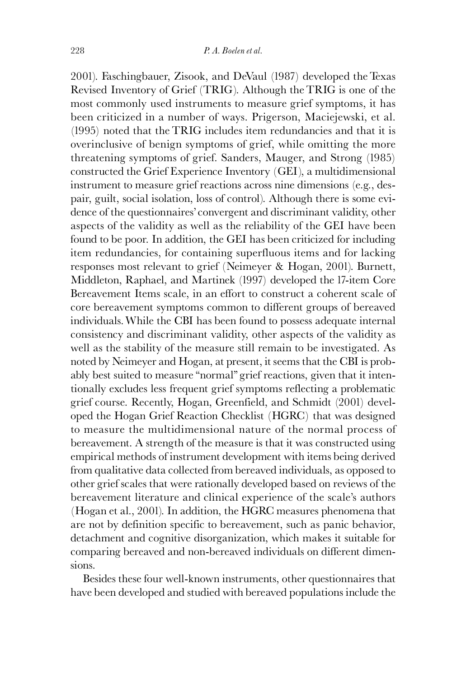2001). Faschingbauer, Zisook, and DeVaul (1987) developed the Texas Revised Inventory of Grief (TRIG). Although the TRIG is one of the most commonly used instruments to measure grief symptoms, it has been criticized in a number of ways. Prigerson, Maciejewski, et al. (1995) noted that the TRIG includes item redundancies and that it is overinclusive of benign symptoms of grief, while omitting the more threatening symptoms of grief. Sanders, Mauger, and Strong (1985) constructed the Grief Experience Inventory (GEI), a multidimensional instrument to measure grief reactions across nine dimensions (e.g., despair, guilt, social isolation, loss of control). Although there is some evidence of the questionnaires'convergent and discriminant validity, other aspects of the validity as well as the reliability of the GEI have been found to be poor. In addition, the GEI has been criticized for including item redundancies, for containing superfluous items and for lacking responses most relevant to grief (Neimeyer & Hogan, 2001). Burnett, Middleton, Raphael, and Martinek (1997) developed the 17-item Core Bereavement Items scale, in an effort to construct a coherent scale of core bereavement symptoms common to different groups of bereaved individuals.While the CBI has been found to possess adequate internal consistency and discriminant validity, other aspects of the validity as well as the stability of the measure still remain to be investigated. As noted by Neimeyer and Hogan, at present, it seems that the CBI is probably best suited to measure "normal" grief reactions, given that it intentionally excludes less frequent grief symptoms reflecting a problematic grief course. Recently, Hogan, Greenfield, and Schmidt (2001) developed the Hogan Grief Reaction Checklist (HGRC) that was designed to measure the multidimensional nature of the normal process of bereavement. A strength of the measure is that it was constructed using empirical methods of instrument development with items being derived from qualitative data collected from bereaved individuals, as opposed to other grief scales that were rationally developed based on reviews of the bereavement literature and clinical experience of the scale's authors (Hogan et al., 2001). In addition, the HGRC measures phenomena that are not by definition specific to bereavement, such as panic behavior, detachment and cognitive disorganization, which makes it suitable for comparing bereaved and non-bereaved individuals on different dimensions.

Besides these four well-known instruments, other questionnaires that have been developed and studied with bereaved populations include the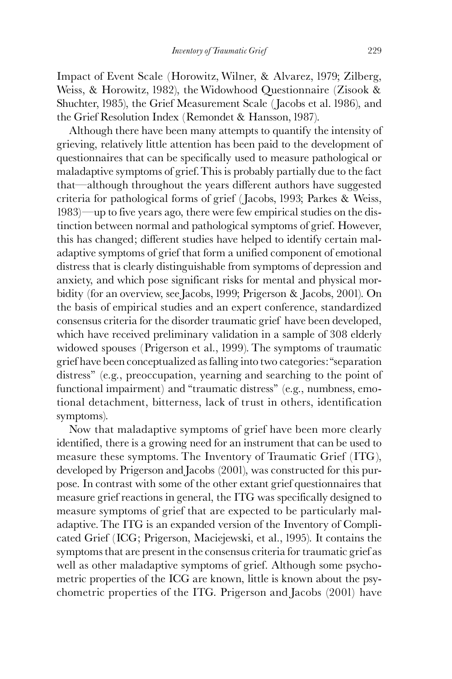Impact of Event Scale (Horowitz, Wilner, & Alvarez, 1979; Zilberg, Weiss, & Horowitz, 1982), the Widowhood Questionnaire (Zisook & Shuchter, 1985), the Grief Measurement Scale (Jacobs et al. 1986), and the Grief Resolution Index (Remondet & Hansson, 1987).

Although there have been many attempts to quantify the intensity of grieving, relatively little attention has been paid to the development of questionnaires that can be specifically used to measure pathological or maladaptive symptoms of grief.This is probably partially due to the fact  $that—although throughout the years different authors have suggested$ criteria for pathological forms of grief (Jacobs, 1993; Parkes & Weiss,  $1983$ —up to five years ago, there were few empirical studies on the distinction between normal and pathological symptoms of grief. However, this has changed; different studies have helped to identify certain maladaptive symptoms of grief that form a unified component of emotional distress that is clearly distinguishable from symptoms of depression and anxiety, and which pose significant risks for mental and physical morbidity (for an overview, see Jacobs, 1999; Prigerson & Jacobs, 2001). On the basis of empirical studies and an expert conference, standardized consensus criteria for the disorder traumatic grief have been developed, which have received preliminary validation in a sample of 308 elderly widowed spouses (Prigerson et al., 1999). The symptoms of traumatic grief have been conceptualized as falling into two categories:''separation distress'' (e.g., preoccupation, yearning and searching to the point of functional impairment) and "traumatic distress" (e.g., numbness, emotional detachment, bitterness, lack of trust in others, identification symptoms).

Now that maladaptive symptoms of grief have been more clearly identified, there is a growing need for an instrument that can be used to measure these symptoms. The Inventory of Traumatic Grief (ITG), developed by Prigerson andJacobs (2001), was constructed for this purpose. In contrast with some of the other extant grief questionnaires that measure grief reactions in general, the ITG was specifically designed to measure symptoms of grief that are expected to be particularly maladaptive. The ITG is an expanded version of the Inventory of Complicated Grief (ICG; Prigerson, Maciejewski, et al., 1995). It contains the symptoms that are present in the consensus criteria for traumatic grief as well as other maladaptive symptoms of grief. Although some psychometric properties of the ICG are known, little is known about the psychometric properties of the ITG. Prigerson and Jacobs (2001) have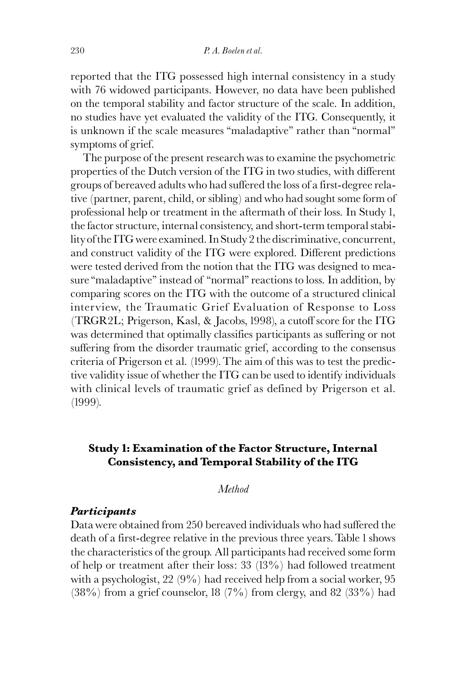reported that the ITG possessed high internal consistency in a study with 76 widowed participants. However, no data have been published on the temporal stability and factor structure of the scale. In addition, no studies have yet evaluated the validity of the ITG. Consequently, it is unknown if the scale measures "maladaptive" rather than "normal" symptoms of grief.

The purpose of the present research was to examine the psychometric properties of the Dutch version of the ITG in two studies, with different groups of bereaved adults who had suffered the loss of a first-degree relative (partner, parent, child, or sibling) and who had sought some form of professional help or treatment in the aftermath of their loss. In Study 1, the factor structure, internal consistency, and short-term temporal stabilityof the ITG were examined. In Study 2 the discriminative, concurrent, and construct validity of the ITG were explored. Different predictions were tested derived from the notion that the ITG was designed to measure''maladaptive'' instead of ''normal'' reactions to loss. In addition, by comparing scores on the ITG with the outcome of a structured clinical interview, the Traumatic Grief Evaluation of Response to Loss (TRGR2L; Prigerson, Kasl, & Jacobs, 1998), a cutoff score for the ITG was determined that optimally classifies participants as suffering or not suffering from the disorder traumatic grief, according to the consensus criteria of Prigerson et al. (1999). The aim of this was to test the predictive validity issue of whether the ITG can be used to identify individuals with clinical levels of traumatic grief as defined by Prigerson et al. (1999).

# Study 1: Examination of the Factor Structure, Internal Consistency, and Temporal Stability of the ITG

Method

### **Participants**

Data were obtained from 250 bereaved individuals who had suffered the death of a first-degree relative in the previous three years. Table 1 shows the characteristics of the group. All participants had received some form of help or treatment after their loss: 33 (13%) had followed treatment with a psychologist, 22 (9%) had received help from a social worker, 95 (38%) from a grief counselor, 18 (7%) from clergy, and 82 (33%) had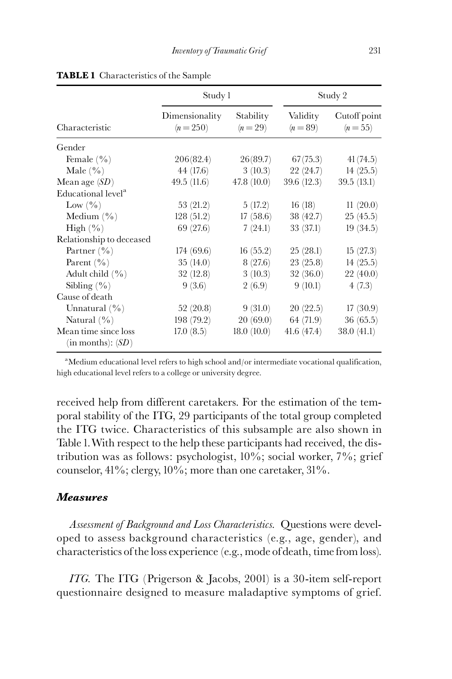|                                           | Study 1                     |                       | Study 2                |                          |
|-------------------------------------------|-----------------------------|-----------------------|------------------------|--------------------------|
| Characteristic                            | Dimensionality<br>$(n=250)$ | Stability<br>$(n=29)$ | Validity<br>$(n = 89)$ | Cutoff point<br>$(n=55)$ |
| Gender                                    |                             |                       |                        |                          |
| Female $(\% )$                            | 206(82.4)                   | 26(89.7)              | 67(75.3)               | 41(74.5)                 |
| Male $(\% )$                              | 44 (17.6)                   | 3(10.3)               | 22(24.7)               | 14(25.5)                 |
| Mean age $(SD)$                           | 49.5(11.6)                  | 47.8(10.0)            | 39.6 (12.3)            | 39.5(13.1)               |
| Educational level <sup>a</sup>            |                             |                       |                        |                          |
| Low $(\% )$                               | 53 (21.2)                   | 5(17.2)               | 16(18)                 | 11(20.0)                 |
| Medium $(\% )$                            | 128(51.2)                   | 17(58.6)              | 38 (42.7)              | 25(45.5)                 |
| High $(\% )$                              | 69 (27.6)                   | 7(24.1)               | 33(37.1)               | 19(34.5)                 |
| Relationship to deceased                  |                             |                       |                        |                          |
| Partner $(\% )$                           | 174(69.6)                   | 16(55.2)              | 25(28.1)               | 15(27.3)                 |
| Parent $(\% )$                            | 35(14.0)                    | 8 (27.6)              | 23(25.8)               | 14(25.5)                 |
| Adult child $(\% )$                       | 32(12.8)                    | 3(10.3)               | 32(36.0)               | 22(40.0)                 |
| Sibling $(\% )$                           | 9(3.6)                      | 2(6.9)                | 9(10.1)                | 4(7.3)                   |
| Cause of death                            |                             |                       |                        |                          |
| Unnatural $(\% )$                         | 52 (20.8)                   | 9(31.0)               | 20(22.5)               | 17(30.9)                 |
| Natural $(\% )$                           | 198 (79.2)                  | 20(69.0)              | 64 (71.9)              | 36(65.5)                 |
| Mean time since loss<br>(in months): (SD) | 17.0 $(8.5)$                | 18.0(10.0)            | 41.6(47.4)             | 38.0(41.1)               |

TABLE 1 Characteristics of the Sample

<sup>a</sup>Medium educational level refers to high school and/or intermediate vocational qualification, high educational level refers to a college or university degree.

received help from different caretakers. For the estimation of the temporal stability of the ITG, 29 participants of the total group completed the ITG twice. Characteristics of this subsample are also shown in Table 1.With respect to the help these participants had received, the distribution was as follows: psychologist, 10%; social worker, 7%; grief counselor, 41%; clergy, 10%; more than one caretaker, 31%.

### Measures

Assessment of Background and Loss Characteristics. Questions were developed to assess background characteristics (e.g., age, gender), and characteristics of the loss experience (e.g., mode of death, time from loss).

ITG. The ITG (Prigerson & Jacobs, 2001) is a 30-item self-report questionnaire designed to measure maladaptive symptoms of grief.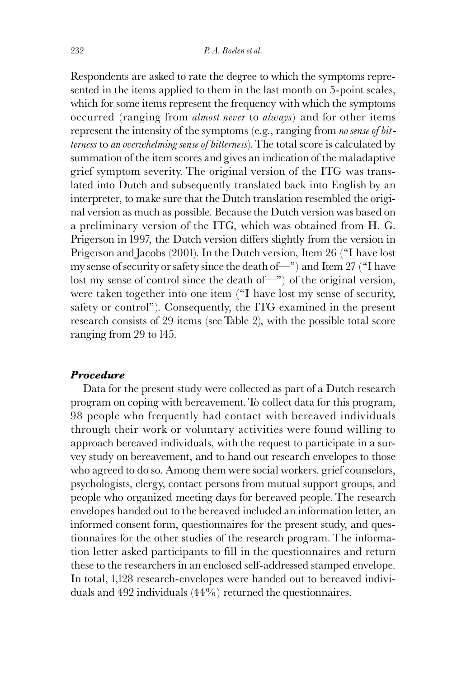Respondents are asked to rate the degree to which the symptoms represented in the items applied to them in the last month on 5-point scales, which for some items represent the frequency with which the symptoms occurred (ranging from almost never to always) and for other items represent the intensity of the symptoms (e.g., ranging from no sense of bitterness to an overwhelming sense of bitterness).The total score is calculated by summation of the item scores and gives an indication of the maladaptive grief symptom severity. The original version of the ITG was translated into Dutch and subsequently translated back into English by an interpreter, to make sure that the Dutch translation resembled the original version as much as possible. Because the Dutch version was based on a preliminary version of the ITG, which was obtained from H. G. Prigerson in 1997, the Dutch version differs slightly from the version in Prigerson and Jacobs (2001). In the Dutch version, Item 26 ("I have lost my sense of security or safety since the death of-'') and Item 27 ("I have lost my sense of control since the death of  $'$ ) of the original version, were taken together into one item ("I have lost my sense of security, safety or control''). Consequently, the ITG examined in the present research consists of 29 items (see Table 2), with the possible total score ranging from 29 to 145.

### Procedure

Data for the present study were collected as part of a Dutch research program on coping with bereavement. To collect data for this program, 98 people who frequently had contact with bereaved individuals through their work or voluntary activities were found willing to approach bereaved individuals, with the request to participate in a survey study on bereavement, and to hand out research envelopes to those who agreed to do so. Among them were social workers, grief counselors, psychologists, clergy, contact persons from mutual support groups, and people who organized meeting days for bereaved people. The research envelopes handed out to the bereaved included an information letter, an informed consent form, questionnaires for the present study, and questionnaires for the other studies of the research program. The information letter asked participants to fill in the questionnaires and return these to the researchers in an enclosed self-addressed stamped envelope. In total, 1,128 research-envelopes were handed out to bereaved individuals and 492 individuals (44%) returned the questionnaires.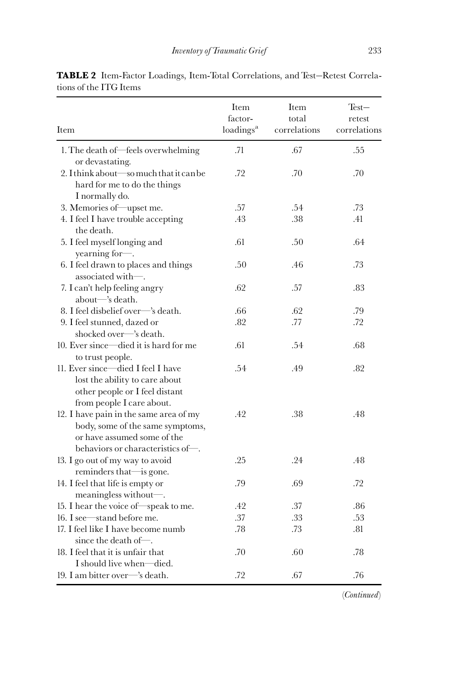|                                         | Item                  | Item         | $Test-$      |
|-----------------------------------------|-----------------------|--------------|--------------|
|                                         | factor-               | total        | retest       |
| Item                                    | loadings <sup>a</sup> | correlations | correlations |
| 1. The death of-feels overwhelming      | .71                   | .67          | .55          |
| or devastating.                         |                       |              |              |
| 2. I think about-so much that it can be | .72                   | .70          | .70          |
| hard for me to do the things            |                       |              |              |
| I normally do.                          |                       |              |              |
| 3. Memories of quest me.                | .57                   | .54          | .73          |
| 4. I feel I have trouble accepting      | .43                   | .38          | .41          |
| the death.                              |                       |              |              |
| 5. I feel myself longing and            | .61                   | .50          | .64          |
| yearning for-.                          |                       |              |              |
| 6. I feel drawn to places and things    | .50                   | .46          | .73          |
| associated with-                        |                       |              |              |
| 7. I can't help feeling angry           | .62                   | .57          | .83          |
| $about$ sdeath.                         |                       |              |              |
| 8. I feel disbelief over—'s death.      | .66                   | .62          | .79          |
| 9. I feel stunned, dazed or             | .82                   | .77          | .72          |
| shocked over-'s death.                  |                       |              |              |
| 10. Ever since—died it is hard for me   | .61                   | .54          | .68          |
| to trust people.                        |                       |              |              |
| 11. Ever since—died I feel I have       | .54                   | .49          | .82          |
| lost the ability to care about          |                       |              |              |
| other people or I feel distant          |                       |              |              |
| from people I care about.               |                       |              |              |
| 12. I have pain in the same area of my  | .42                   | .38          | .48          |
| body, some of the same symptoms,        |                       |              |              |
| or have assumed some of the             |                       |              |              |
| behaviors or characteristics of-        |                       |              |              |
| 13. I go out of my way to avoid         | .25                   | .24          | .48          |
| reminders that-is gone.                 |                       |              |              |
| 14. I feel that life is empty or        | .79                   | .69          | .72          |
| meaningless without-                    |                       |              |              |
| 15. I hear the voice of-speak to me.    | .42                   | .37          | .86          |
| 16. I see—stand before me.              | .37                   | .33          | .53          |
| 17. I feel like I have become numb      | .78                   | .73          | .81          |
| since the death of-                     |                       |              |              |
| 18. I feel that it is unfair that       | .70                   | .60          | .78          |
| I should live when—died.                |                       |              |              |
| 19. I am bitter over-'s death.          | .72                   | .67          | .76          |

TABLE 2 Item-Factor Loadings, Item-Total Correlations, and Test-Retest Correlations of the ITG Items

(Continued)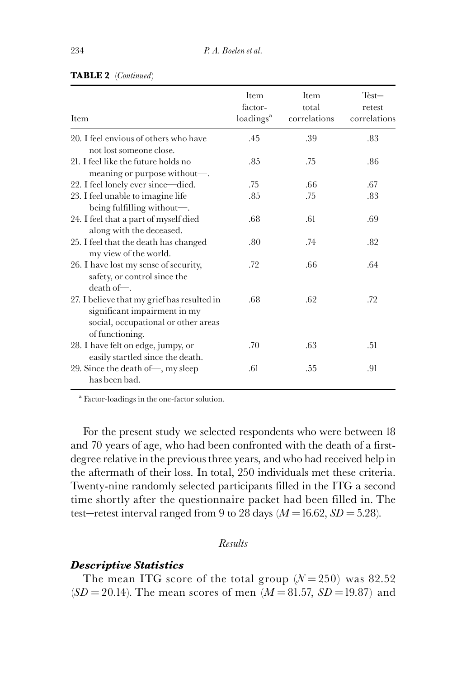| Item                                                                                                                                  | Item<br>factor-<br>loadings <sup>a</sup> | <b>Item</b><br>total<br>correlations | $Test-$<br>retest<br>correlations |
|---------------------------------------------------------------------------------------------------------------------------------------|------------------------------------------|--------------------------------------|-----------------------------------|
| 20. I feel envious of others who have<br>not lost someone close.                                                                      | .45                                      | .39                                  | .83                               |
| 21. I feel like the future holds no<br>meaning or purpose without—.                                                                   | .85                                      | .75                                  | .86                               |
| 22. I feel lonely ever since—died.                                                                                                    | .75                                      | .66                                  | .67                               |
| 23. I feel unable to imagine life<br>being fulfilling without— $\ldots$                                                               | .85                                      | .75                                  | .83                               |
| 24. I feel that a part of myself died<br>along with the deceased.                                                                     | .68                                      | .61                                  | .69                               |
| 25. I feel that the death has changed<br>my view of the world.                                                                        | .80                                      | .74                                  | .82                               |
| 26. I have lost my sense of security,<br>safety, or control since the<br>$death of -$ .                                               | .72                                      | .66                                  | .64                               |
| 27. I believe that my grief has resulted in<br>significant impairment in my<br>social, occupational or other areas<br>of functioning. | .68                                      | .62                                  | .72                               |
| 28. I have felt on edge, jumpy, or<br>easily startled since the death.                                                                | .70                                      | .63                                  | .51                               |
| 29. Since the death of—, my sleep<br>has been bad.                                                                                    | .61                                      | .55                                  | .91                               |

|  | <b>TABLE 2</b> (Continued) |
|--|----------------------------|
|--|----------------------------|

<sup>a</sup> Factor-loadings in the one-factor solution.

For the present study we selected respondents who were between 18 and 70 years of age, who had been confronted with the death of a firstdegree relative in the previous three years, and who had received help in the aftermath of their loss. In total, 250 individuals met these criteria. Twenty-nine randomly selected participants filled in the ITG a second time shortly after the questionnaire packet had been filled in. The test–retest interval ranged from 9 to 28 days ( $M=16.62$ ,  $SD = 5.28$ ).

### Results

#### Descriptive Statistics

The mean ITG score of the total group  $(N = 250)$  was 82.52  $(SD = 20.14)$ . The mean scores of men  $(M = 81.57, SD = 19.87)$  and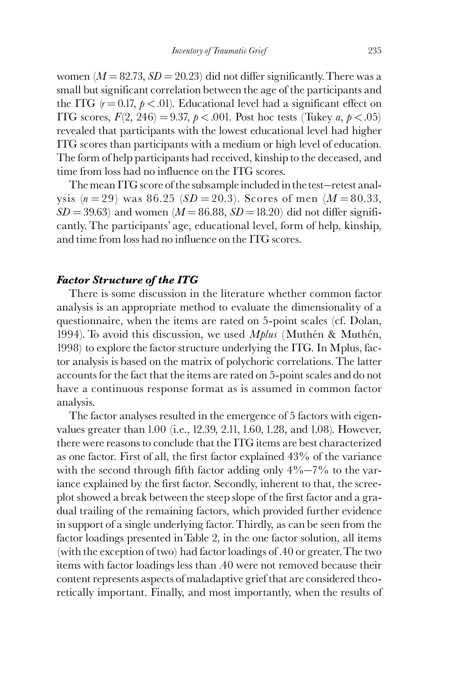women ( $M = 82.73$ ,  $SD = 20.23$ ) did not differ significantly. There was a small but significant correlation between the age of the participants and the ITG  $(r = 0.17, p < 0.01)$ . Educational level had a significant effect on ITG scores,  $F(2, 246) = 9.37, p < .001$ . Post hoc tests (Tukey a,  $p < .05$ ) revealed that participants with the lowest educational level had higher ITG scores than participants with a medium or high level of education. The form of help participants had received, kinship to the deceased, and time from loss had no influence on the ITG scores.

The mean ITG score of the subsample included in the test-retest analysis (n = 29) was 86.25 (SD = 20.3). Scores of men ( $M = 80.33$ ,  $SD = 39.63$  and women  $(M = 86.88, SD = 18.20)$  did not differ significantly. The participants' age, educational level, form of help, kinship, and time from loss had no influence on the ITG scores.

### Factor Structure of the ITG

There is some discussion in the literature whether common factor analysis is an appropriate method to evaluate the dimensionality of a questionnaire, when the items are rated on 5-point scales (cf. Dolan, 1994). To avoid this discussion, we used  $Mplus$  (Muthén & Muthén, 1998) to explore the factor structure underlying the ITG. In Mplus, factor analysis is based on the matrix of polychoric correlations. The latter accounts for the fact that the items are rated on 5-point scales and do not have a continuous response format as is assumed in common factor analysis.

The factor analyses resulted in the emergence of 5 factors with eigenvalues greater than 1.00 (i.e., 12.39, 2.11, 1.60, 1.28, and 1.08). However, there were reasons to conclude that the ITG items are best characterized as one factor. First of all, the first factor explained 43% of the variance with the second through fifth factor adding only  $4\% - 7\%$  to the variance explained by the first factor. Secondly, inherent to that, the screeplot showed a break between the steep slope of the first factor and a gradual trailing of the remaining factors, which provided further evidence in support of a single underlying factor.Thirdly, as can be seen from the factor loadings presented inTable 2, in the one factor solution, all items (with the exception of two) had factor loadings of .40 or greater.The two items with factor loadings less than .40 were not removed because their content represents aspects of maladaptive grief that are considered theoretically important. Finally, and most importantly, when the results of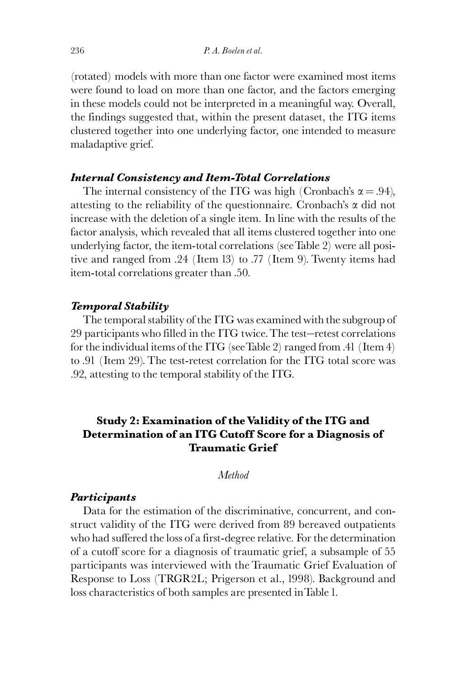(rotated) models with more than one factor were examined most items were found to load on more than one factor, and the factors emerging in these models could not be interpreted in a meaningful way. Overall, the findings suggested that, within the present dataset, the ITG items clustered together into one underlying factor, one intended to measure maladaptive grief.

### Internal Consistency and Item-Total Correlations

The internal consistency of the ITG was high (Cronbach's  $\alpha = .94$ ), attesting to the reliability of the questionnaire. Cronbach's  $\alpha$  did not increase with the deletion of a single item. In line with the results of the factor analysis, which revealed that all items clustered together into one underlying factor, the item-total correlations (seeTable 2) were all positive and ranged from .24 (Item 13) to .77 (Item 9). Twenty items had item-total correlations greater than .50.

#### Temporal Stability

The temporal stability of the ITG was examined with the subgroup of 29 participants who filled in the ITG twice. The test-retest correlations for the individual items of the ITG (seeTable 2) ranged from .41 (Item 4) to .91 (Item 29). The test-retest correlation for the ITG total score was .92, attesting to the temporal stability of the ITG.

# Study 2: Examination of the Validity of the ITG and Determination of an ITG Cutoff Score for a Diagnosis of Traumatic Grief

### Method

### **Participants**

Data for the estimation of the discriminative, concurrent, and construct validity of the ITG were derived from 89 bereaved outpatients who had suffered the loss of a first-degree relative. For the determination of a cutoff score for a diagnosis of traumatic grief, a subsample of 55 participants was interviewed with the Traumatic Grief Evaluation of Response to Loss (TRGR2L; Prigerson et al., 1998). Background and loss characteristics of both samples are presented inTable 1.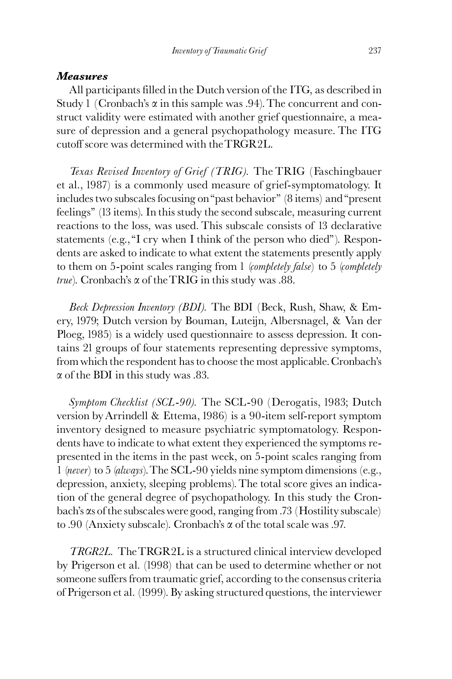#### Measures

All participants filled in the Dutch version of the ITG, as described in Study 1 (Cronbach's  $\alpha$  in this sample was .94). The concurrent and construct validity were estimated with another grief questionnaire, a measure of depression and a general psychopathology measure. The ITG cutoff score was determined with theTRGR2L.

Texas Revised Inventory of Grief (TRIG). The TRIG (Faschingbauer et al., 1987) is a commonly used measure of grief-symptomatology. It includes two subscales focusing on''past behavior'' (8 items) and''present feelings'' (13 items). In this study the second subscale, measuring current reactions to the loss, was used. This subscale consists of 13 declarative statements (e.g.,''I cry when I think of the person who died''). Respondents are asked to indicate to what extent the statements presently apply to them on 5-point scales ranging from 1 (*completely false*) to 5 (*completely* true). Cronbach's  $\alpha$  of the TRIG in this study was .88.

Beck Depression Inventory (BDI). The BDI (Beck, Rush, Shaw, & Emery, 1979; Dutch version by Bouman, Luteijn, Albersnagel, & Van der Ploeg, 1985) is a widely used questionnaire to assess depression. It contains 21 groups of four statements representing depressive symptoms, from which the respondent has to choose the most applicable.Cronbach's  $\alpha$  of the BDI in this study was .83.

Symptom Checklist (SCL-90). The SCL-90 (Derogatis, 1983; Dutch version by Arrindell & Ettema, 1986) is a 90-item self-report symptom inventory designed to measure psychiatric symptomatology. Respondents have to indicate to what extent they experienced the symptoms represented in the items in the past week, on 5-point scales ranging from 1 (never) to 5 (always).The SCL-90 yields nine symptom dimensions (e.g., depression, anxiety, sleeping problems). The total score gives an indication of the general degree of psychopathology. In this study the Cronbach's as of the subscales were good, ranging from .73 (Hostility subscale) to .90 (Anxiety subscale). Cronbach's a of the total scale was .97.

TRGR2L. TheTRGR2L is a structured clinical interview developed by Prigerson et al. (1998) that can be used to determine whether or not someone suffers from traumatic grief, according to the consensus criteria of Prigerson et al. (1999). By asking structured questions, the interviewer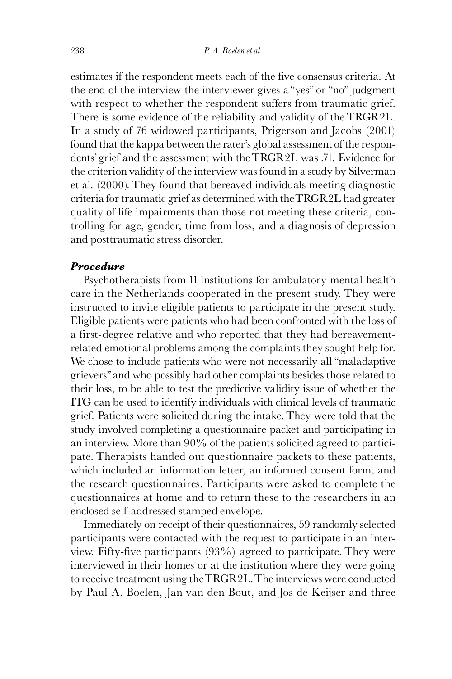estimates if the respondent meets each of the five consensus criteria. At the end of the interview the interviewer gives a''yes'' or ''no'' judgment with respect to whether the respondent suffers from traumatic grief. There is some evidence of the reliability and validity of the TRGR2L. In a study of 76 widowed participants, Prigerson and Jacobs (2001) found that the kappa between the rater's global assessment of the respondents' grief and the assessment with the TRGR2L was .71. Evidence for the criterion validity of the interview was found in a study by Silverman et al. (2000). They found that bereaved individuals meeting diagnostic criteria for traumatic grief as determined with theTRGR2L had greater quality of life impairments than those not meeting these criteria, controlling for age, gender, time from loss, and a diagnosis of depression and posttraumatic stress disorder.

#### Procedure

Psychotherapists from 11 institutions for ambulatory mental health care in the Netherlands cooperated in the present study. They were instructed to invite eligible patients to participate in the present study. Eligible patients were patients who had been confronted with the loss of a first-degree relative and who reported that they had bereavementrelated emotional problems among the complaints they sought help for. We chose to include patients who were not necessarily all "maladaptive" grievers''and who possibly had other complaints besides those related to their loss, to be able to test the predictive validity issue of whether the ITG can be used to identify individuals with clinical levels of traumatic grief. Patients were solicited during the intake. They were told that the study involved completing a questionnaire packet and participating in an interview. More than 90% of the patients solicited agreed to participate. Therapists handed out questionnaire packets to these patients, which included an information letter, an informed consent form, and the research questionnaires. Participants were asked to complete the questionnaires at home and to return these to the researchers in an enclosed self-addressed stamped envelope.

Immediately on receipt of their questionnaires, 59 randomly selected participants were contacted with the request to participate in an interview. Fifty-five participants (93%) agreed to participate. They were interviewed in their homes or at the institution where they were going to receive treatment using theTRGR2L.The interviews were conducted by Paul A. Boelen, Jan van den Bout, and Jos de Keijser and three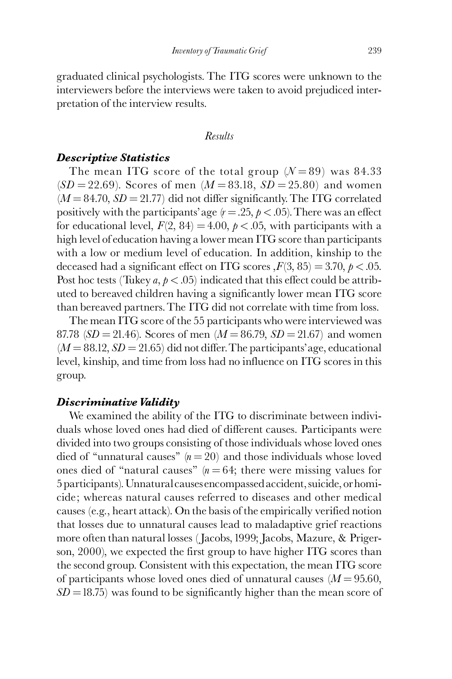graduated clinical psychologists. The ITG scores were unknown to the interviewers before the interviews were taken to avoid prejudiced interpretation of the interview results.

### Results

#### Descriptive Statistics

The mean ITG score of the total group  $(N=89)$  was 84.33  $(SD = 22.69)$ . Scores of men  $(M = 83.18, SD = 25.80)$  and women  $(M = 84.70, SD = 21.77)$  did not differ significantly. The ITG correlated positively with the participants' age  $(r = .25, p < .05)$ . There was an effect for educational level,  $F(2, 84) = 4.00, p < .05$ , with participants with a high level of education having a lower mean ITG score than participants with a low or medium level of education. In addition, kinship to the deceased had a significant effect on ITG scores  $F(3, 85) = 3.70, p < .05$ . Post hoc tests (Tukey  $a, p < .05$ ) indicated that this effect could be attributed to bereaved children having a significantly lower mean ITG score than bereaved partners.The ITG did not correlate with time from loss.

The mean ITG score of the 55 participants who were interviewed was 87.78 ( $SD = 21.46$ ). Scores of men ( $M = 86.79$ ,  $SD = 21.67$ ) and women  $(M = 88.12, SD = 21.65)$  did not differ. The participants' age, educational level, kinship, and time from loss had no influence on ITG scores in this group.

#### Discriminative Validity

We examined the ability of the ITG to discriminate between individuals whose loved ones had died of different causes. Participants were divided into two groups consisting of those individuals whose loved ones died of "unnatural causes"  $(n = 20)$  and those individuals whose loved ones died of "natural causes"  $(n = 64;$  there were missing values for 5participants).Unnaturalcausesencompassedaccident, suicide, orhomicide; whereas natural causes referred to diseases and other medical causes (e.g., heart attack). On the basis of the empirically verified notion that losses due to unnatural causes lead to maladaptive grief reactions more often than natural losses (Jacobs, 1999; Jacobs, Mazure, & Prigerson, 2000), we expected the first group to have higher ITG scores than the second group. Consistent with this expectation, the mean ITG score of participants whose loved ones died of unnatural causes  $(M = 95.60,$  $SD = 18.75$ ) was found to be significantly higher than the mean score of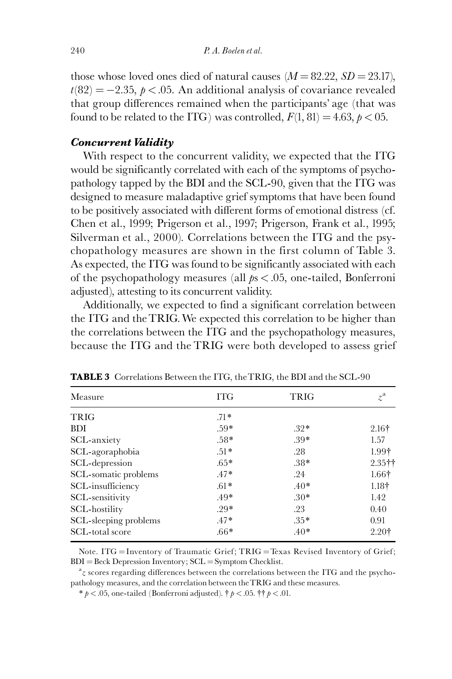those whose loved ones died of natural causes  $(M = 82.22, SD = 23.17)$ ,  $t(82) = -2.35$ ,  $p < .05$ . An additional analysis of covariance revealed that group differences remained when the participants' age (that was found to be related to the ITG) was controlled,  $F(1, 81) = 4.63$ ,  $p < 05$ .

### Concurrent Validity

With respect to the concurrent validity, we expected that the ITG would be significantly correlated with each of the symptoms of psychopathology tapped by the BDI and the SCL-90, given that the ITG was designed to measure maladaptive grief symptoms that have been found to be positively associated with different forms of emotional distress (cf. Chen et al., 1999; Prigerson et al., 1997; Prigerson, Frank et al., 1995; Silverman et al., 2000). Correlations between the ITG and the psychopathology measures are shown in the first column of Table 3. As expected, the ITG was found to be significantly associated with each of the psychopathology measures (all  $ps < .05$ , one-tailed, Bonferroni adjusted), attesting to its concurrent validity.

Additionally, we expected to find a significant correlation between the ITG and the TRIG.We expected this correlation to be higher than the correlations between the ITG and the psychopathology measures, because the ITG and the TRIG were both developed to assess grief

| Measure               | <b>ITG</b> | TRIG   | $z^{\mathrm{a}}$  |
|-----------------------|------------|--------|-------------------|
| <b>TRIG</b>           | $.71*$     |        |                   |
| <b>BDI</b>            | $.59*$     | $.32*$ | 2.16†             |
| SCL-anxiety           | $.58*$     | $.39*$ | 1.57              |
| SCL-agoraphobia       | $.51*$     | .28    | 1.99 <sub>†</sub> |
| SCL-depression        | $.65*$     | $.38*$ | $2.35 +$          |
| SCL-somatic problems  | $.47*$     | .24    | 1.66†             |
| SCL-insufficiency     | $.61*$     | $.40*$ | $1.18\dagger$     |
| SCL-sensitivity       | .49*       | $.30*$ | 1.42              |
| SCL-hostility         | $.29*$     | .23    | 0.40              |
| SCL-sleeping problems | $.47*$     | $.35*$ | 0.91              |
| SCL-total score       | $.66*$     | $.40*$ | 2.20 <sup>†</sup> |

TABLE 3 Correlations Between the ITG, the TRIG, the BDI and the SCL-90

Note. ITG = Inventory of Traumatic Grief; TRIG = Texas Revised Inventory of Grief;  $BDI = Beck$  Depression Inventory;  $SCL = Symptom$  Checklist.

 $z^2$  scores regarding differences between the correlations between the ITG and the psychopathology measures, and the correlation between theTRIG and these measures.

\*  $p < .05$ , one-tailed (Bonferroni adjusted).  $\dagger p < .05$ .  $\dagger \dagger p < .01$ .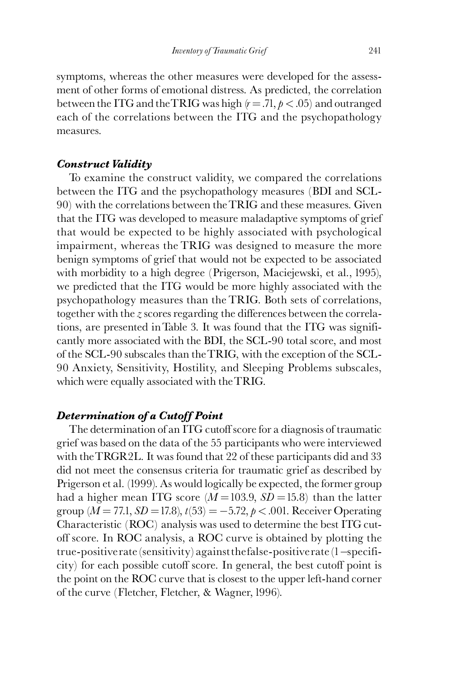symptoms, whereas the other measures were developed for the assessment of other forms of emotional distress. As predicted, the correlation between the ITG and the TRIG was high  $(r = .71, p < .05)$  and outranged each of the correlations between the ITG and the psychopathology measures.

### $Construct$  Validity

To examine the construct validity, we compared the correlations between the ITG and the psychopathology measures (BDI and SCL-90) with the correlations between theTRIG and these measures. Given that the ITG was developed to measure maladaptive symptoms of grief that would be expected to be highly associated with psychological impairment, whereas the TRIG was designed to measure the more benign symptoms of grief that would not be expected to be associated with morbidity to a high degree (Prigerson, Maciejewski, et al., 1995), we predicted that the ITG would be more highly associated with the psychopathology measures than the TRIG. Both sets of correlations, together with the z scores regarding the differences between the correlations, are presented in Table 3. It was found that the ITG was significantly more associated with the BDI, the SCL-90 total score, and most of the SCL-90 subscales than theTRIG, with the exception of the SCL-90 Anxiety, Sensitivity, Hostility, and Sleeping Problems subscales, which were equally associated with the TRIG.

### Determination of a Cutoff Point

The determination of an ITG cutoff score for a diagnosis of traumatic grief was based on the data of the 55 participants who were interviewed with theTRGR2L. It was found that 22 of these participants did and 33 did not meet the consensus criteria for traumatic grief as described by Prigerson et al. (1999). As would logically be expected, the former group had a higher mean ITG score ( $M = 103.9$ ,  $SD = 15.8$ ) than the latter group ( $M = 77.1$ ,  $SD = 17.8$ ),  $t(53) = -5.72$ ,  $p < .001$ . Receiver Operating Characteristic (ROC) analysis was used to determine the best ITG cutoff score. In ROC analysis, a ROC curve is obtained by plotting the  $true-positive rate(sensitivity) against the false-positive rate(1-specifici$ city) for each possible cutoff score. In general, the best cutoff point is the point on the ROC curve that is closest to the upper left-hand corner of the curve (Fletcher, Fletcher, & Wagner, 1996).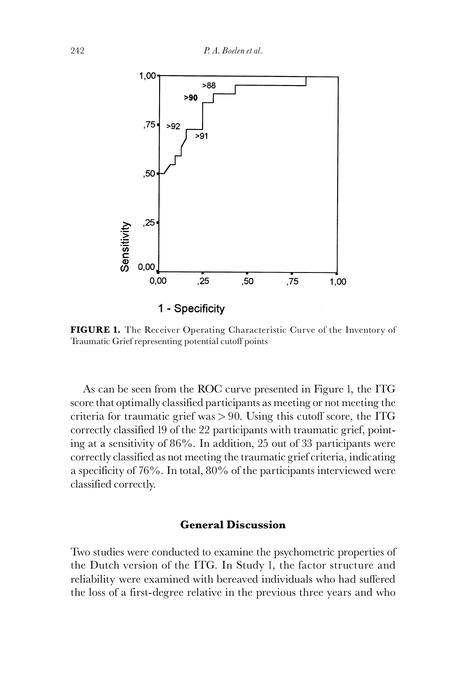

FIGURE 1. The Receiver Operating Characteristic Curve of the Inventory of Traumatic Grief representing potential cutoff points

As can be seen from the ROC curve presented in Figure 1, the ITG score that optimally classified participants as meeting or not meeting the criteria for traumatic grief was  $> 90$ . Using this cutoff score, the ITG correctly classified 19 of the 22 participants with traumatic grief, pointing at a sensitivity of 86%. In addition, 25 out of 33 participants were correctly classified as not meeting the traumatic grief criteria, indicating a specificity of 76%. In total, 80% of the participants interviewed were classified correctly.

## General Discussion

Two studies were conducted to examine the psychometric properties of the Dutch version of the ITG. In Study 1, the factor structure and reliability were examined with bereaved individuals who had suffered the loss of a first-degree relative in the previous three years and who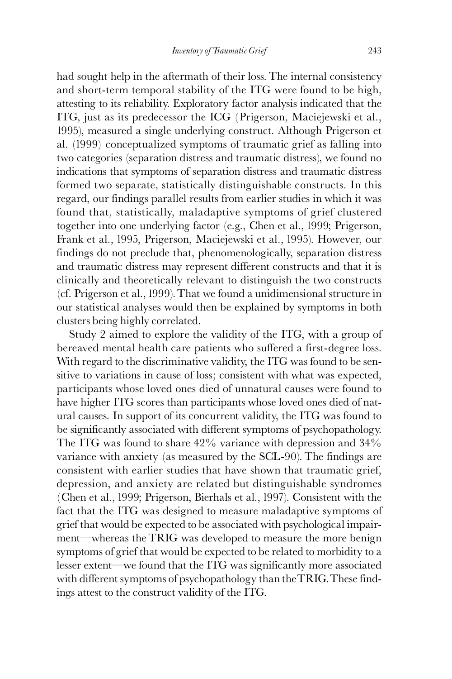had sought help in the aftermath of their loss. The internal consistency and short-term temporal stability of the ITG were found to be high, attesting to its reliability. Exploratory factor analysis indicated that the ITG, just as its predecessor the ICG (Prigerson, Maciejewski et al., 1995), measured a single underlying construct. Although Prigerson et al. (1999) conceptualized symptoms of traumatic grief as falling into two categories (separation distress and traumatic distress), we found no indications that symptoms of separation distress and traumatic distress formed two separate, statistically distinguishable constructs. In this regard, our findings parallel results from earlier studies in which it was found that, statistically, maladaptive symptoms of grief clustered together into one underlying factor (e.g., Chen et al., 1999; Prigerson, Frank et al., 1995, Prigerson, Maciejewski et al., 1995). However, our findings do not preclude that, phenomenologically, separation distress and traumatic distress may represent different constructs and that it is clinically and theoretically relevant to distinguish the two constructs (cf. Prigerson et al., 1999).That we found a unidimensional structure in our statistical analyses would then be explained by symptoms in both clusters being highly correlated.

Study 2 aimed to explore the validity of the ITG, with a group of bereaved mental health care patients who suffered a first-degree loss. With regard to the discriminative validity, the ITG was found to be sensitive to variations in cause of loss; consistent with what was expected, participants whose loved ones died of unnatural causes were found to have higher ITG scores than participants whose loved ones died of natural causes. In support of its concurrent validity, the ITG was found to be significantly associated with different symptoms of psychopathology. The ITG was found to share 42% variance with depression and 34% variance with anxiety (as measured by the SCL-90). The findings are consistent with earlier studies that have shown that traumatic grief, depression, and anxiety are related but distinguishable syndromes (Chen et al., 1999; Prigerson, Bierhals et al., 1997). Consistent with the fact that the ITG was designed to measure maladaptive symptoms of grief that would be expected to be associated with psychological impairment—whereas the TRIG was developed to measure the more benign symptoms of grief that would be expected to be related to morbidity to a lesser extent—we found that the ITG was significantly more associated with different symptoms of psychopathology than theTRIG.These findings attest to the construct validity of the ITG.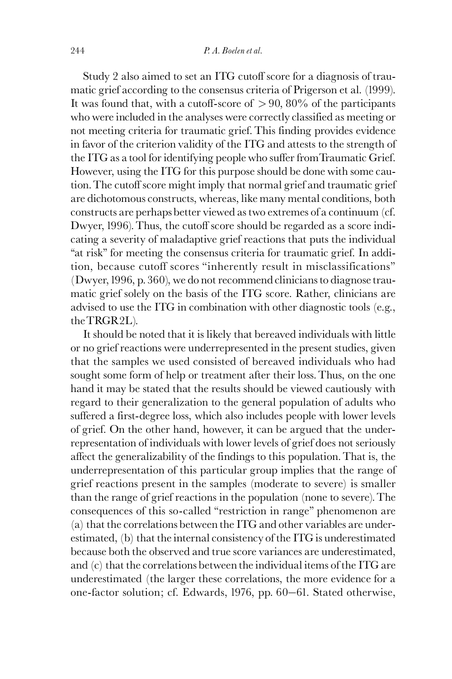Study 2 also aimed to set an ITG cutoff score for a diagnosis of traumatic grief according to the consensus criteria of Prigerson et al. (1999). It was found that, with a cutoff-score of  $> 90, 80\%$  of the participants who were included in the analyses were correctly classified as meeting or not meeting criteria for traumatic grief. This finding provides evidence in favor of the criterion validity of the ITG and attests to the strength of the ITG as a tool for identifying people who suffer fromTraumatic Grief. However, using the ITG for this purpose should be done with some caution.The cutoff score might imply that normal grief and traumatic grief are dichotomous constructs, whereas, like many mental conditions, both constructs are perhaps better viewed as two extremes of a continuum (cf. Dwyer, 1996). Thus, the cutoff score should be regarded as a score indicating a severity of maladaptive grief reactions that puts the individual "at risk" for meeting the consensus criteria for traumatic grief. In addition, because cutoff scores ''inherently result in misclassifications'' (Dwyer,1996, p. 360), we do not recommend clinicians to diagnose traumatic grief solely on the basis of the ITG score. Rather, clinicians are advised to use the ITG in combination with other diagnostic tools (e.g., theTRGR2L).

It should be noted that it is likely that bereaved individuals with little or no grief reactions were underrepresented in the present studies, given that the samples we used consisted of bereaved individuals who had sought some form of help or treatment after their loss. Thus, on the one hand it may be stated that the results should be viewed cautiously with regard to their generalization to the general population of adults who suffered a first-degree loss, which also includes people with lower levels of grief. On the other hand, however, it can be argued that the underrepresentation of individuals with lower levels of grief does not seriously affect the generalizability of the findings to this population. That is, the underrepresentation of this particular group implies that the range of grief reactions present in the samples (moderate to severe) is smaller than the range of grief reactions in the population (none to severe). The consequences of this so-called ''restriction in range'' phenomenon are (a) that the correlations between the ITG and other variables are underestimated, (b) that the internal consistency of the ITG is underestimated because both the observed and true score variances are underestimated, and (c) that the correlations between the individual items of the ITG are underestimated (the larger these correlations, the more evidence for a one-factor solution; cf. Edwards, 1976, pp. 60-61. Stated otherwise,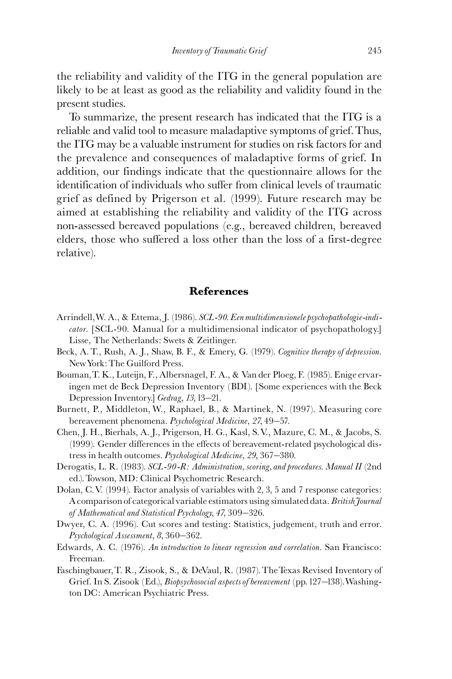the reliability and validity of the ITG in the general population are likely to be at least as good as the reliability and validity found in the present studies.

To summarize, the present research has indicated that the ITG is a reliable and valid tool to measure maladaptive symptoms of grief.Thus, the ITG may be a valuable instrument for studies on risk factors for and the prevalence and consequences of maladaptive forms of grief. In addition, our findings indicate that the questionnaire allows for the identification of individuals who suffer from clinical levels of traumatic grief as defined by Prigerson et al. (1999). Future research may be aimed at establishing the reliability and validity of the ITG across non-assessed bereaved populations (e.g., bereaved children, bereaved elders, those who suffered a loss other than the loss of a first-degree relative).

#### References

- Arrindell,W. A., & Ettema, J. (1986). SCL-90. Een multidimensionele psychopathologie-indicator. [SCL-90. Manual for a multidimensional indicator of psychopathology.] Lisse, The Netherlands: Swets & Zeitlinger.
- Beck, A. T., Rush, A. J., Shaw, B. F., & Emery, G. (1979). Cognitive therapy of depression. NewYork: The Guilford Press.
- Bouman,T. K., Luteijn, F., Albersnagel, F. A., & Van der Ploeg, F. (1985). Enige ervaringen met de Beck Depression Inventory (BDI). [Some experiences with the Beck Depression Inventory.] Gedrag, 13, 13-21.
- Burnett, P., Middleton, W., Raphael, B., & Martinek, N. (1997). Measuring core bereavement phenomena. Psychological Medicine, 27, 49-57.
- Chen, J. H., Bierhals, A. J., Prigerson, H. G., Kasl, S.V., Mazure, C. M., & Jacobs, S. (1999). Gender differences in the effects of bereavement-related psychological distress in health outcomes. Psychological Medicine, 29, 367-380.
- Derogatis, L. R. (1983). SCL-90-R: Administration, scoring, and procedures. Manual II (2nd ed.).Towson, MD: Clinical Psychometric Research.
- Dolan, C.V. (1994). Factor analysis of variables with 2, 3, 5 and 7 response categories: A comparison of categorical variable estimators using simulated data. British Journal of Mathematical and Statistical Psychology, 47, 309-326.
- Dwyer, C. A. (1996). Cut scores and testing: Statistics, judgement, truth and error. Psychological Assessment, 8, 360-362.
- Edwards, A. C. (1976). An introduction to linear regression and correlation. San Francisco: Freeman.
- Faschingbauer,T. R., Zisook, S., & DeVaul, R. (1987).TheTexas Revised Inventory of Grief. In S. Zisook (Ed.), Biopsychosocial aspects of bereavement (pp. 127-138). Washington DC: American Psychiatric Press.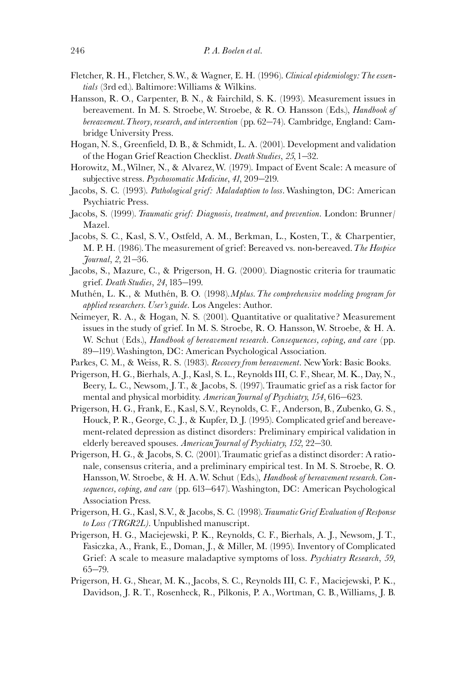- Fletcher, R. H., Fletcher, S. W., & Wagner, E. H. (1996). Clinical epidemiology: The essentials (3rd ed.). Baltimore:Williams & Wilkins.
- Hansson, R. O., Carpenter, B. N., & Fairchild, S. K. (1993). Measurement issues in bereavement. In M. S. Stroebe, W. Stroebe, & R. O. Hansson (Eds.), *Handbook of* bereavement. Theory, research, and intervention (pp. 62–74). Cambridge, England: Cambridge University Press.
- Hogan, N. S., Greenfield, D. B., & Schmidt, L. A. (2001). Development and validation of the Hogan Grief Reaction Checklist. Death Studies, 25, 1-32.
- Horowitz, M.,Wilner, N., & Alvarez,W. (1979). Impact of Event Scale: A measure of subjective stress. Psychosomatic Medicine, 41, 209-219.
- Jacobs, S. C. (1993). Pathological grief: Maladaption to loss.Washington, DC: American Psychiatric Press.
- Jacobs, S. (1999). *Traumatic grief: Diagnosis, treatment, and prevention*. London: Brunner/ Mazel.
- Jacobs, S. C., Kasl, S. V., Ostfeld, A. M., Berkman, L., Kosten, T., & Charpentier, M. P. H. (1986). The measurement of grief: Bereaved vs. non-bereaved. The Hospice  $Journal, 2, 21–36.$
- Jacobs, S., Mazure, C., & Prigerson, H. G. (2000). Diagnostic criteria for traumatic grief. Death Studies, 24, 185-199.
- Muthén, L. K., & Muthén, B. O. (1998). Mplus. The comprehensive modeling program for applied researchers. User's guide. Los Angeles: Author.
- Neimeyer, R. A., & Hogan, N. S. (2001). Quantitative or qualitative ? Measurement issues in the study of grief. In M. S. Stroebe, R. O. Hansson,W. Stroebe, & H. A. W. Schut (Eds.), Handbook of bereavement research. Consequences, coping, and care (pp. 89-119). Washington, DC: American Psychological Association.
- Parkes, C. M., & Weiss, R. S. (1983). Recovery from bereavement. New York: Basic Books.
- Prigerson, H. G., Bierhals, A. J., Kasl, S. L., Reynolds III, C. F., Shear, M. K., Day, N., Beery, L. C., Newsom, J. T., & Jacobs, S. (1997). Traumatic grief as a risk factor for mental and physical morbidity. American Journal of Psychiatry, 154, 616–623.
- Prigerson, H. G., Frank, E., Kasl, S.V., Reynolds, C. F., Anderson, B., Zubenko, G. S., Houck, P. R., George, C. J., & Kupfer, D. J. (1995). Complicated grief and bereavement-related depression as distinct disorders: Preliminary empirical validation in elderly bereaved spouses. American Journal of Psychiatry, 152, 22-30.
- Prigerson, H. G., & Jacobs, S. C. (2001). Traumatic grief as a distinct disorder: A rationale, consensus criteria, and a preliminary empirical test. In M. S. Stroebe, R. O. Hansson, W. Stroebe, & H. A. W. Schut (Eds.), Handbook of bereavement research. Consequences, coping, and care (pp. 613-647). Washington, DC: American Psychological Association Press.
- Prigerson, H. G., Kasl, S.V., & Jacobs, S. C. (1998). Traumatic Grief Evaluation of Response to Loss (TRGR2L). Unpublished manuscript.
- Prigerson, H. G., Maciejewski, P. K., Reynolds, C. F., Bierhals, A. J., Newsom, J. T., Fasiczka, A., Frank, E., Doman, J., & Miller, M. (1995). Inventory of Complicated Grief: A scale to measure maladaptive symptoms of loss. Psychiatry Research, 59, 65-79.
- Prigerson, H. G., Shear, M. K., Jacobs, S. C., Reynolds III, C. F., Maciejewski, P. K., Davidson, J. R. T., Rosenheck, R., Pilkonis, P. A.,Wortman, C. B.,Williams, J. B.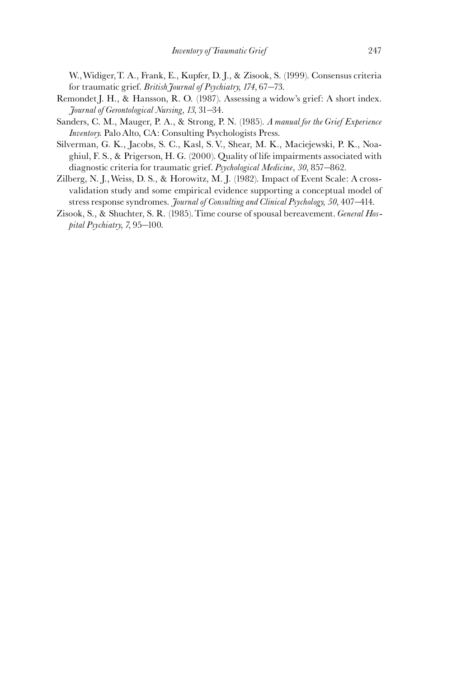W.,Widiger,T. A., Frank, E., Kupfer, D. J., & Zisook, S. (1999). Consensus criteria for traumatic grief. British Journal of Psychiatry, 174, 67-73.

- Remondet J. H., & Hansson, R. O. (1987). Assessing a widow's grief: A short index. Journal of Gerontological Nursing, 13, 31734.
- Sanders, C. M., Mauger, P. A., & Strong, P. N. (1985). A manual for the Grief Experience Inventory. Palo Alto, CA: Consulting Psychologists Press.
- Silverman, G. K., Jacobs, S. C., Kasl, S. V., Shear, M. K., Maciejewski, P. K., Noaghiul, F. S., & Prigerson, H. G. (2000). Quality of life impairments associated with diagnostic criteria for traumatic grief. Psychological Medicine, 30, 857-862.
- Zilberg, N. J.,Weiss, D. S., & Horowitz, M. J. (1982). Impact of Event Scale: A crossvalidation study and some empirical evidence supporting a conceptual model of stress response syndromes. Journal of Consulting and Clinical Psychology, 50, 407–414.
- Zisook, S., & Shuchter, S. R. (1985). Time course of spousal bereavement. General Hospital Psychiatry,  $7, 95-100$ .